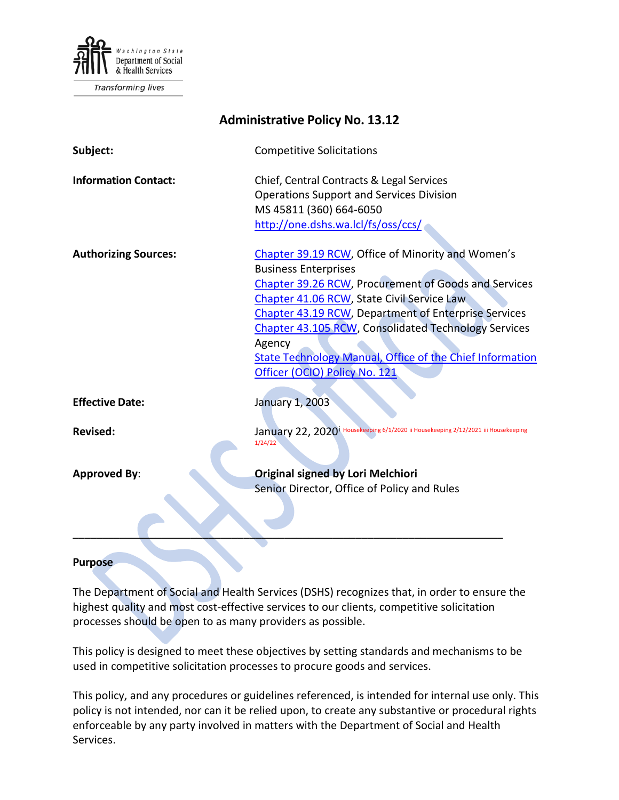

Transforming lives

| <b>Administrative Policy No. 13.12</b> |                                                                                                                                                                                                                                                                                                                                                                                                                             |
|----------------------------------------|-----------------------------------------------------------------------------------------------------------------------------------------------------------------------------------------------------------------------------------------------------------------------------------------------------------------------------------------------------------------------------------------------------------------------------|
| Subject:                               | <b>Competitive Solicitations</b>                                                                                                                                                                                                                                                                                                                                                                                            |
| <b>Information Contact:</b>            | Chief, Central Contracts & Legal Services<br><b>Operations Support and Services Division</b><br>MS 45811 (360) 664-6050<br>http://one.dshs.wa.lcl/fs/oss/ccs/                                                                                                                                                                                                                                                               |
| <b>Authorizing Sources:</b>            | Chapter 39.19 RCW, Office of Minority and Women's<br><b>Business Enterprises</b><br>Chapter 39.26 RCW, Procurement of Goods and Services<br>Chapter 41.06 RCW, State Civil Service Law<br>Chapter 43.19 RCW, Department of Enterprise Services<br><b>Chapter 43.105 RCW, Consolidated Technology Services</b><br>Agency<br><b>State Technology Manual, Office of the Chief Information</b><br>Officer (OCIO) Policy No. 121 |
| <b>Effective Date:</b>                 | <b>January 1, 2003</b>                                                                                                                                                                                                                                                                                                                                                                                                      |
| <b>Revised:</b>                        | January 22, 2020 <sup>1</sup> Housekeeping 6/1/2020 ii Housekeeping 2/12/2021 iii Housekeeping<br>1/24/22                                                                                                                                                                                                                                                                                                                   |
| <b>Approved By:</b>                    | <b>Original signed by Lori Melchiori</b><br>Senior Director, Office of Policy and Rules                                                                                                                                                                                                                                                                                                                                     |

#### **Purpose**

The Department of Social and Health Services (DSHS) recognizes that, in order to ensure the highest quality and most cost-effective services to our clients, competitive solicitation processes should be open to as many providers as possible.

This policy is designed to meet these objectives by setting standards and mechanisms to be used in competitive solicitation processes to procure goods and services.

This policy, and any procedures or guidelines referenced, is intended for internal use only. This policy is not intended, nor can it be relied upon, to create any substantive or procedural rights enforceable by any party involved in matters with the Department of Social and Health Services.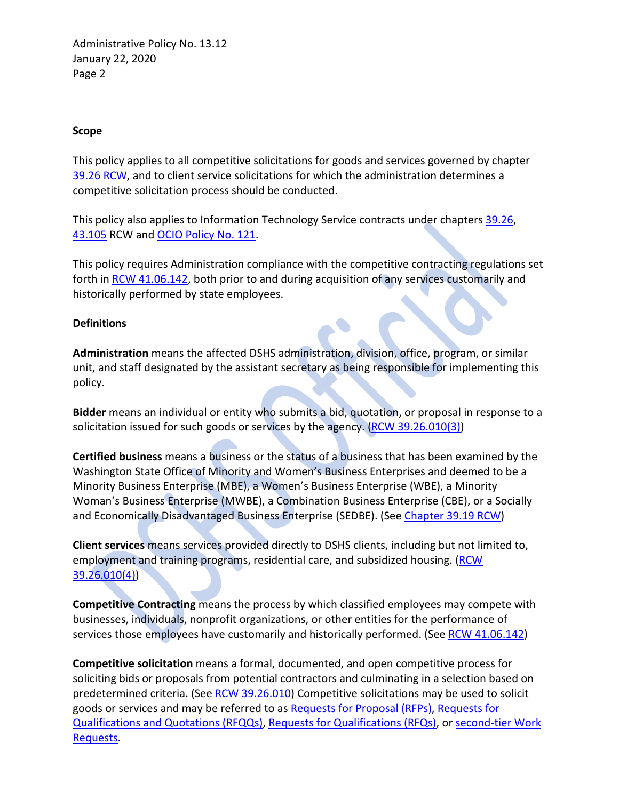### **Scope**

This policy applies to all competitive solicitations for goods and services governed by chapter [39.26](http://apps.leg.wa.gov/RCW/default.aspx?cite=39.26) RCW, and to client service solicitations for which the administration determines a competitive solicitation process should be conducted.

This policy also applies to Information Technology Service contracts under chapters [39.26,](http://apps.leg.wa.gov/rcw/default.aspx?cite=39.26) [43.105](https://app.leg.wa.gov/RCW/default.aspx?cite=43.105) RCW and [OCIO Policy No. 121.](https://ocio.wa.gov/policies/121-it-investments-approval-and-oversight)

This policy requires Administration compliance with the competitive contracting regulations set forth in [RCW 41.06.142,](http://apps.leg.wa.gov/rcw/default.aspx?cite=41.06.142) both prior to and during acquisition of any services customarily and historically performed by state employees.

#### **Definitions**

**Administration** means the affected DSHS administration, division, office, program, or similar unit, and staff designated by the assistant secretary as being responsible for implementing this policy.

**Bidder** means an individual or entity who submits a bid, quotation, or proposal in response to a solicitation issued for such goods or services by the agency. [\(RCW 39.26.010\(3\)\)](http://apps.leg.wa.gov/rcw/default.aspx?cite=39.26.010)

**Certified business** means a business or the status of a business that has been examined by the Washington State Office of Minority and Women's Business Enterprises and deemed to be a Minority Business Enterprise (MBE), a Women's Business Enterprise (WBE), a Minority Woman's Business Enterprise (MWBE), a Combination Business Enterprise (CBE), or a Socially and Economically Disadvantaged Business Enterprise (SEDBE). (See [Chapter](http://app.leg.wa.gov/RCW/default.aspx?cite=39.19) 39.19 RCW)

**Client services** means services provided directly to DSHS clients, including but not limited to, employment and training programs, residential care, and subsidized housing. [\(RCW](http://apps.leg.wa.gov/rcw/default.aspx?cite=39.26.010) [39.26.010\(4\)\)](http://apps.leg.wa.gov/rcw/default.aspx?cite=39.26.010)

**Competitive Contracting** means the process by which classified employees may compete with businesses, individuals, nonprofit organizations, or other entities for the performance of services those employees have customarily and historically performed. (See [RCW 41.06.142\)](http://apps.leg.wa.gov/RCW/default.aspx?cite=41.06.142)

**Competitive solicitation** means a formal, documented, and open competitive process for soliciting bids or proposals from potential contractors and culminating in a selection based on predetermined criteria. (See [RCW 39.26.010\)](http://apps.leg.wa.gov/rcw/default.aspx?cite=39.26.010) Competitive solicitations may be used to solicit goods or services and may be referred to a[s Requests for Proposal \(RFPs\), Requests for](http://one.dshs.wa.lcl/FS/OSS/CCS/SiteAssets/Pages/Guide/Glossary--rev%206-15.doc)  [Qualifications and Quotations \(RFQQs\), Requests for Qualifications \(RFQs\),](http://one.dshs.wa.lcl/FS/OSS/CCS/SiteAssets/Pages/Guide/Glossary--rev%206-15.doc) or [second-tier Work](http://one.dshs.wa.lcl/FS/OSS/CCS/SiteAssets/Pages/Guide/Glossary--rev%206-15.doc)  [Requests.](http://one.dshs.wa.lcl/FS/OSS/CCS/SiteAssets/Pages/Guide/Glossary--rev%206-15.doc)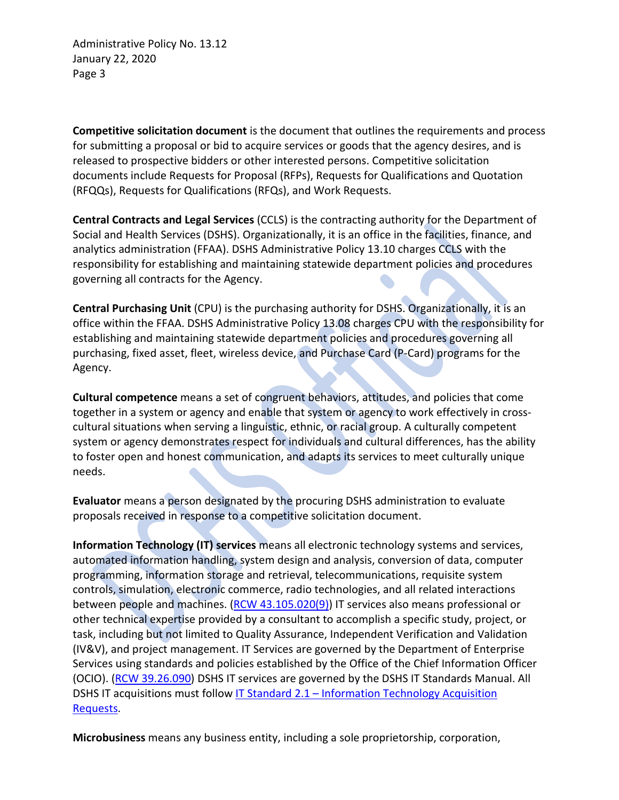**Competitive solicitation document** is the document that outlines the requirements and process for submitting a proposal or bid to acquire services or goods that the agency desires, and is released to prospective bidders or other interested persons. Competitive solicitation documents include Requests for Proposal (RFPs), Requests for Qualifications and Quotation (RFQQs), Requests for Qualifications (RFQs), and Work Requests.

**Central Contracts and Legal Services** (CCLS) is the contracting authority for the Department of Social and Health Services (DSHS). Organizationally, it is an office in the facilities, finance, and analytics administration (FFAA). DSHS Administrative Policy 13.10 charges CCLS with the responsibility for establishing and maintaining statewide department policies and procedures governing all contracts for the Agency.

**Central Purchasing Unit** (CPU) is the purchasing authority for DSHS. Organizationally, it is an office within the FFAA. DSHS Administrative Policy 13.08 charges CPU with the responsibility for establishing and maintaining statewide department policies and procedures governing all purchasing, fixed asset, fleet, wireless device, and Purchase Card (P-Card) programs for the Agency.

**Cultural competence** means a set of congruent behaviors, attitudes, and policies that come together in a system or agency and enable that system or agency to work effectively in crosscultural situations when serving a linguistic, ethnic, or racial group. A culturally competent system or agency demonstrates respect for individuals and cultural differences, has the ability to foster open and honest communication, and adapts its services to meet culturally unique needs.

**Evaluator** means a person designated by the procuring DSHS administration to evaluate proposals received in response to a competitive solicitation document.

**Information Technology (IT) services** means all electronic technology systems and services, automated information handling, system design and analysis, conversion of data, computer programming, information storage and retrieval, telecommunications, requisite system controls, simulation, electronic commerce, radio technologies, and all related interactions between people and machines. [\(RCW 43.105.020\(9\)\)](https://app.leg.wa.gov/RCW/default.aspx?cite=43.105.020) IT services also means professional or other technical expertise provided by a consultant to accomplish a specific study, project, or task, including but not limited to Quality Assurance, Independent Verification and Validation (IV&V), and project management. IT Services are governed by the Department of Enterprise Services using standards and policies established by the Office of the Chief Information Officer (OCIO). [\(RCW 39.26.090\)](https://app.leg.wa.gov/RCW/default.aspx?cite=39.26.090) DSHS IT services are governed by the DSHS IT Standards Manual. All DSHS IT acquisitions must follow IT Standard 2.1 – Information Technology Acquisition [Requests.](http://intra.dshs.wa.lcl/itstandards/resources/doc/ITStandard2.1.pdf)

**Microbusiness** means any business entity, including a sole proprietorship, corporation,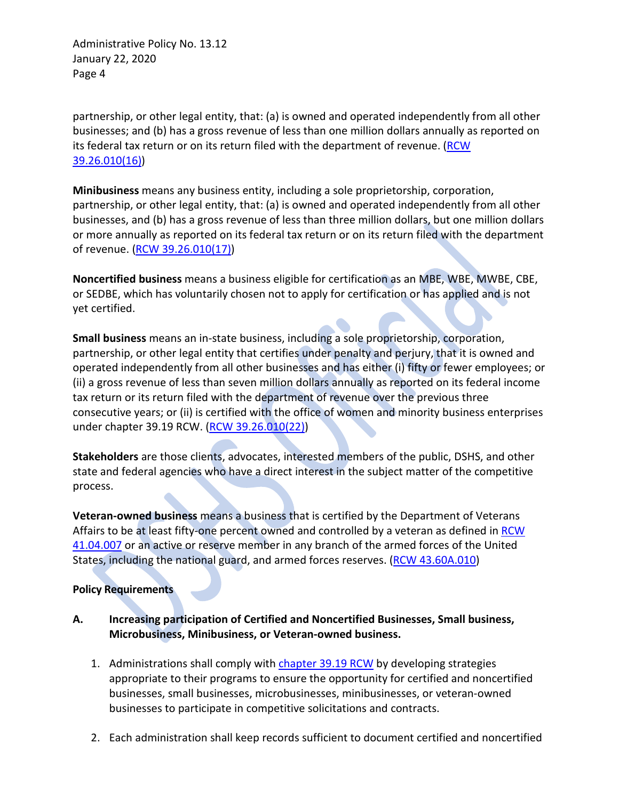partnership, or other legal entity, that: (a) is owned and operated independently from all other businesses; and (b) has a gross revenue of less than one million dollars annually as reported on its federal tax return or on its return filed with the department of revenue. [\(RCW](http://apps.leg.wa.gov/RCW/default.aspx?cite=39.26&full=true#39.26.010)  [39.26.010\(](http://apps.leg.wa.gov/RCW/default.aspx?cite=39.26&full=true#39.26.010)16))

**Minibusiness** means any business entity, including a sole proprietorship, corporation, partnership, or other legal entity, that: (a) is owned and operated independently from all other businesses, and (b) has a gross revenue of less than three million dollars, but one million dollars or more annually as reported on its federal tax return or on its return filed with the department of revenue. [\(RCW 39.26.010\(](http://apps.leg.wa.gov/RCW/default.aspx?cite=39.26.010)17))

**Noncertified business** means a business eligible for certification as an MBE, WBE, MWBE, CBE, or SEDBE, which has voluntarily chosen not to apply for certification or has applied and is not yet certified.

**Small business** means an in-state business, including a sole proprietorship, corporation, partnership, or other legal entity that certifies under penalty and perjury, that it is owned and operated independently from all other businesses and has either (i) fifty or fewer employees; or (ii) a gross revenue of less than seven million dollars annually as reported on its federal income tax return or its return filed with the department of revenue over the previous three consecutive years; or (ii) is certified with the office of women and minority business enterprises under chapter 39.19 RCW. [\(RCW 39.26.010\(](http://apps.leg.wa.gov/RCW/default.aspx?cite=39.26.010)22))

**Stakeholders** are those clients, advocates, interested members of the public, DSHS, and other state and federal agencies who have a direct interest in the subject matter of the competitive process.

**Veteran-owned business** means a business that is certified by the Department of Veterans Affairs to be at least fifty-one percent owned and controlled by a veteran as defined in [RCW](http://apps.leg.wa.gov/rcw/default.aspx?cite=41.04.007)  [41.04.007](http://apps.leg.wa.gov/rcw/default.aspx?cite=41.04.007) or an active or reserve member in any branch of the armed forces of the United States, including the national guard, and armed forces reserves. [\(RCW 43.60A.010\)](http://apps.leg.wa.gov/rcw/default.aspx?cite=43.60A.010)

### **Policy Requirements**

- **A. Increasing participation of Certified and Noncertified Businesses, Small business, Microbusiness, Minibusiness, or Veteran-owned business.**
	- 1. Administrations shall comply wit[h chapter 39.19 RCW](http://apps.leg.wa.gov/RCW/default.aspx?cite=39.19) by developing strategies appropriate to their programs to ensure the opportunity for certified and noncertified businesses, small businesses, microbusinesses, minibusinesses, or veteran-owned businesses to participate in competitive solicitations and contracts.
	- 2. Each administration shall keep records sufficient to document certified and noncertified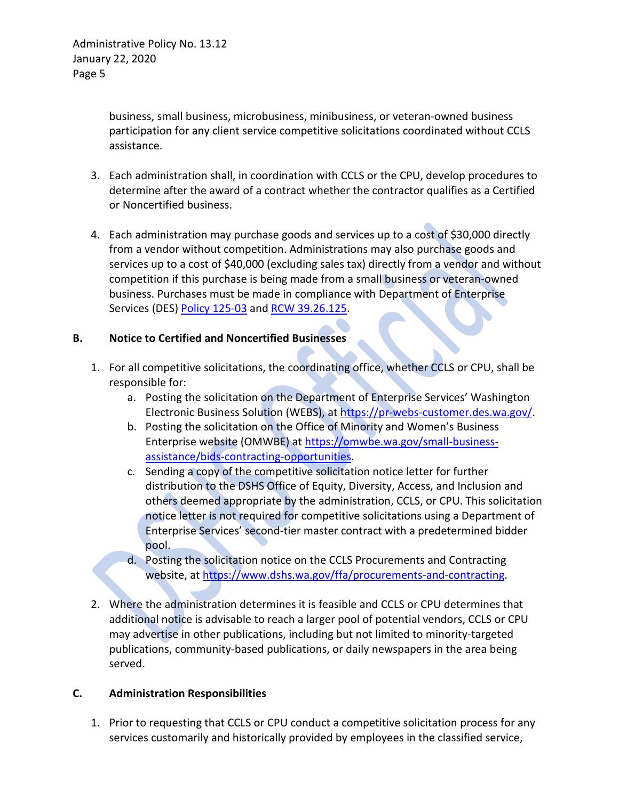business, small business, microbusiness, minibusiness, or veteran-owned business participation for any client service competitive solicitations coordinated without CCLS assistance.

- 3. Each administration shall, in coordination with CCLS or the CPU, develop procedures to determine after the award of a contract whether the contractor qualifies as a Certified or Noncertified business.
- 4. Each administration may purchase goods and services up to a cost of \$30,000 directly from a vendor without competition. Administrations may also purchase goods and services up to a cost of \$40,000 (excluding sales tax) directly from a vendor and without competition if this purchase is being made from a small business or veteran-owned business. Purchases must be made in compliance with Department of Enterprise Services (DES) [Policy 125-03](https://des.wa.gov/sites/default/files/public/documents/About/Procurement_reform/Policies/DES-125-03DirectBuy.pdf?=a7ffa) and [RCW 39.26.125.](http://apps.leg.wa.gov/rcw/default.aspx?cite=39.26.125)

## **B. Notice to Certified and Noncertified Businesses**

- 1. For all competitive solicitations, the coordinating office, whether CCLS or CPU, shall be responsible for:
	- a. Posting the solicitation on the Department of Enterprise Services' Washington Electronic Business Solution (WEBS), at [https://pr-webs-customer.des.wa.gov/.](https://pr-webs-customer.des.wa.gov/)
	- b. Posting the solicitation on the Office of Minority and Women's Business Enterprise website (OMWBE) at [https://omwbe.wa.gov/small-business](https://omwbe.wa.gov/small-business-assistance/bids-contracting-opportunities)[assistance/bids-contracting-opportunities.](https://omwbe.wa.gov/small-business-assistance/bids-contracting-opportunities)
	- c. Sending a copy of the competitive solicitation notice letter for further distribution to the DSHS Office of Equity, Diversity, Access, and Inclusion and others deemed appropriate by the administration, CCLS, or CPU. This solicitation notice letter is not required for competitive solicitations using a Department of Enterprise Services' second-tier master contract with a predetermined bidder pool.
	- d. Posting the solicitation notice on the CCLS Procurements and Contracting website, at [https://www.dshs.wa.gov/ffa/procurements-and-contracting.](https://www.dshs.wa.gov/ffa/procurements-and-contracting)
- 2. Where the administration determines it is feasible and CCLS or CPU determines that additional notice is advisable to reach a larger pool of potential vendors, CCLS or CPU may advertise in other publications, including but not limited to minority-targeted publications, community-based publications, or daily newspapers in the area being served.

### **C. Administration Responsibilities**

1. Prior to requesting that CCLS or CPU conduct a competitive solicitation process for any services customarily and historically provided by employees in the classified service,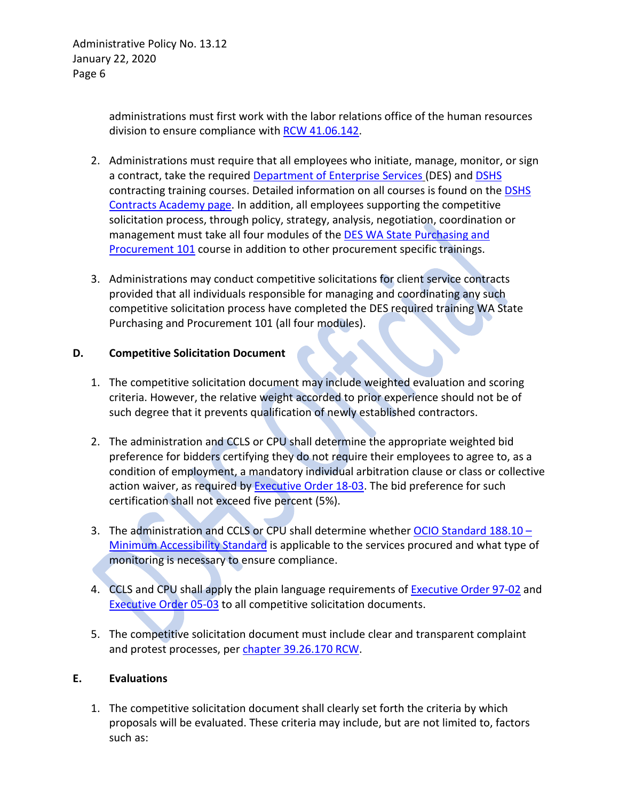administrations must first work with the labor relations office of the human resources division to ensure compliance with [RCW 41.06.142.](http://apps.leg.wa.gov/RCW/default.aspx?cite=41.06.142)

- 2. Administrations must require that all employees who initiate, manage, monitor, or sign a contract, take the required [Department of Enterprise Services](http://des.wa.gov/about/pi/ProcurementReform/Pages/PRTraining.aspx) (DES) and [DSHS](http://one.dshs.wa.lcl/FS/OSS/CCS/Academy/Pages/default.aspx) contracting training courses. Detailed information on all courses is found on the [DSHS](http://one.dshs.wa.lcl/FS/OSS/CCS/Academy/Pages/default.aspx)  [Contracts Academy page.](http://one.dshs.wa.lcl/FS/OSS/CCS/Academy/Pages/default.aspx) In addition, all employees supporting the competitive solicitation process, through policy, strategy, analysis, negotiation, coordination or management must take all four modules of the [DES WA State Purchasing and](http://one.dshs.wa.lcl/FS/OSS/Pages/DES-Contracts-and-Procurement-trainings.aspx)  [Procurement 101](http://one.dshs.wa.lcl/FS/OSS/Pages/DES-Contracts-and-Procurement-trainings.aspx) course in addition to other procurement specific trainings.
- 3. Administrations may conduct competitive solicitations for client service contracts provided that all individuals responsible for managing and coordinating any such competitive solicitation process have completed the DES required training WA State Purchasing and Procurement 101 (all four modules).

## **D. Competitive Solicitation Document**

- 1. The competitive solicitation document may include weighted evaluation and scoring criteria. However, the relative weight accorded to prior experience should not be of such degree that it prevents qualification of newly established contractors.
- 2. The administration and CCLS or CPU shall determine the appropriate weighted bid preference for bidders certifying they do not require their employees to agree to, as a condition of employment, a mandatory individual arbitration clause or class or collective action waiver, as required b[y Executive Order 18-03.](https://www.governor.wa.gov/sites/default/files/exe_order/18-03%20-%20Workers%20Rights%20%28tmp%29.pdf?=32717) The bid preference for such certification shall not exceed five percent (5%).
- 3. The administration and CCLS or CPU shall determine whether [OCIO Standard 188.10 –](https://ocio.wa.gov/policy/minimum-accessibility-standard) [Minimum Accessibility Standard](https://ocio.wa.gov/policy/minimum-accessibility-standard) is applicable to the services procured and what type of monitoring is necessary to ensure compliance.
- 4. CCLS and CPU shall apply the plain language requirements of [Executive Order 97-02](https://www.governor.wa.gov/sites/default/files/exe_order/eo_97-02.pdf) and [Executive Order 05-03](https://www.governor.wa.gov/sites/default/files/exe_order/eo_05-03.pdf) to all competitive solicitation documents.
- 5. The competitive solicitation document must include clear and transparent complaint and protest processes, per [chapter 39.26.170 RCW.](http://apps.leg.wa.gov/rcw/default.aspx?cite=39.26.170)

# **E. Evaluations**

1. The competitive solicitation document shall clearly set forth the criteria by which proposals will be evaluated. These criteria may include, but are not limited to, factors such as: